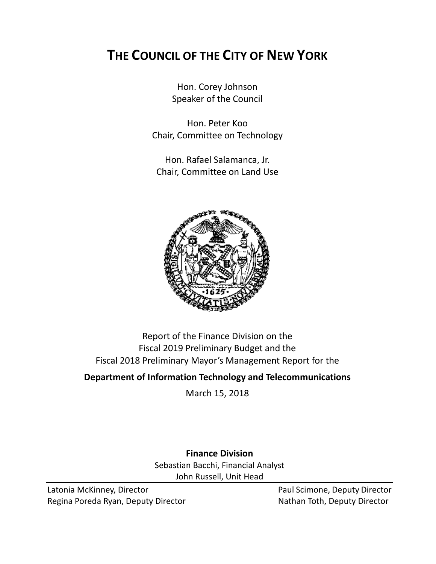# **THE COUNCIL OF THE CITY OF NEW YORK**

Hon. Corey Johnson Speaker of the Council

Hon. Peter Koo Chair, Committee on Technology

Hon. Rafael Salamanca, Jr. Chair, Committee on Land Use



## Report of the Finance Division on the Fiscal 2019 Preliminary Budget and the Fiscal 2018 Preliminary Mayor's Management Report for the

## **Department of Information Technology and Telecommunications**

March 15, 2018

**Finance Division** Sebastian Bacchi, Financial Analyst John Russell, Unit Head

Latonia McKinney, Director **Paul Scimone, Deputy Director** Paul Scimone, Deputy Director Regina Poreda Ryan, Deputy Director Nathan Toth, Deputy Director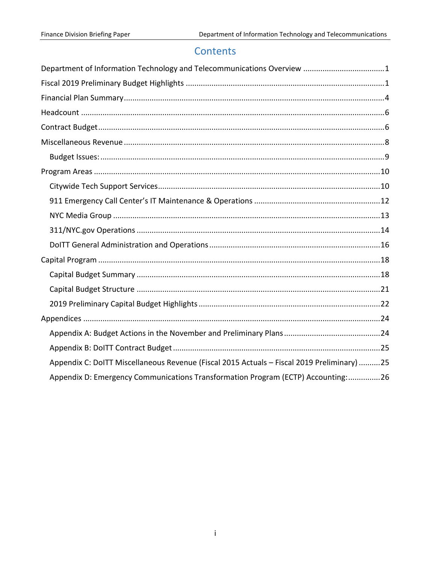## Contents

| Department of Information Technology and Telecommunications Overview 1                     |
|--------------------------------------------------------------------------------------------|
|                                                                                            |
|                                                                                            |
|                                                                                            |
|                                                                                            |
|                                                                                            |
|                                                                                            |
|                                                                                            |
|                                                                                            |
|                                                                                            |
|                                                                                            |
|                                                                                            |
|                                                                                            |
|                                                                                            |
|                                                                                            |
|                                                                                            |
|                                                                                            |
|                                                                                            |
|                                                                                            |
|                                                                                            |
| Appendix C: DoITT Miscellaneous Revenue (Fiscal 2015 Actuals - Fiscal 2019 Preliminary) 25 |
| Appendix D: Emergency Communications Transformation Program (ECTP) Accounting:26           |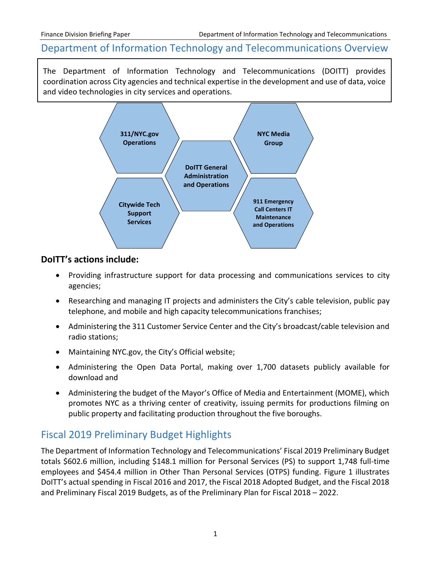## <span id="page-2-0"></span>Department of Information Technology and Telecommunications Overview

The Department of Information Technology and Telecommunications (DOITT) provides coordination across City agencies and technical expertise in the development and use of data, voice and video technologies in city services and operations.



## **DoITT's actions include:**

- Providing infrastructure support for data processing and communications services to city agencies;
- Researching and managing IT projects and administers the City's cable television, public pay telephone, and mobile and high capacity telecommunications franchises;
- Administering the 311 Customer Service Center and the City's broadcast/cable television and radio stations;
- Maintaining NYC.gov, the City's Official website;
- Administering the Open Data Portal, making over 1,700 datasets publicly available for download and
- Administering the budget of the Mayor's Office of Media and Entertainment (MOME), which promotes NYC as a thriving center of creativity, issuing permits for productions filming on public property and facilitating production throughout the five boroughs.

## <span id="page-2-1"></span>Fiscal 2019 Preliminary Budget Highlights

The Department of Information Technology and Telecommunications' Fiscal 2019 Preliminary Budget totals \$602.6 million, including \$148.1 million for Personal Services (PS) to support 1,748 full-time employees and \$454.4 million in Other Than Personal Services (OTPS) funding. Figure 1 illustrates DoITT's actual spending in Fiscal 2016 and 2017, the Fiscal 2018 Adopted Budget, and the Fiscal 2018 and Preliminary Fiscal 2019 Budgets, as of the Preliminary Plan for Fiscal 2018 – 2022.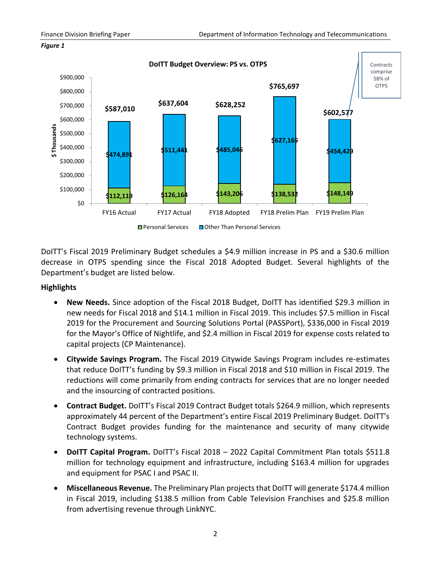



DoITT's Fiscal 2019 Preliminary Budget schedules a \$4.9 million increase in PS and a \$30.6 million decrease in OTPS spending since the Fiscal 2018 Adopted Budget. Several highlights of the Department's budget are listed below.

### **Highlights**

- **New Needs.** Since adoption of the Fiscal 2018 Budget, DoITT has identified \$29.3 million in new needs for Fiscal 2018 and \$14.1 million in Fiscal 2019. This includes \$7.5 million in Fiscal 2019 for the Procurement and Sourcing Solutions Portal (PASSPort), \$336,000 in Fiscal 2019 for the Mayor's Office of Nightlife, and \$2.4 million in Fiscal 2019 for expense costs related to capital projects (CP Maintenance).
- **Citywide Savings Program.** The Fiscal 2019 Citywide Savings Program includes re-estimates that reduce DoITT's funding by \$9.3 million in Fiscal 2018 and \$10 million in Fiscal 2019. The reductions will come primarily from ending contracts for services that are no longer needed and the insourcing of contracted positions.
- **Contract Budget.** DoITT's Fiscal 2019 Contract Budget totals \$264.9 million, which represents approximately 44 percent of the Department's entire Fiscal 2019 Preliminary Budget. DoITT's Contract Budget provides funding for the maintenance and security of many citywide technology systems.
- **DoITT Capital Program.** DoITT's Fiscal 2018 2022 Capital Commitment Plan totals \$511.8 million for technology equipment and infrastructure, including \$163.4 million for upgrades and equipment for PSAC I and PSAC II.
- **Miscellaneous Revenue.** The Preliminary Plan projects that DoITT will generate \$174.4 million in Fiscal 2019, including \$138.5 million from Cable Television Franchises and \$25.8 million from advertising revenue through LinkNYC.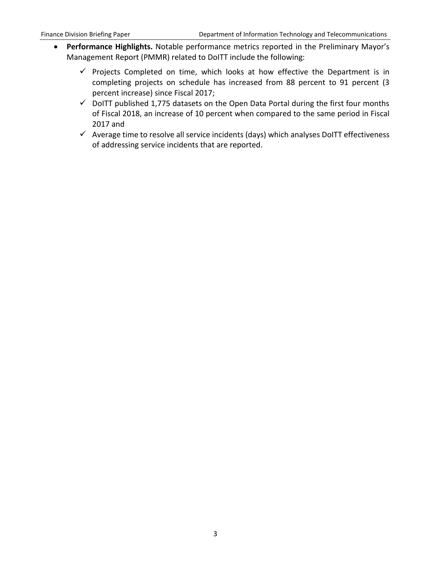- **Performance Highlights.** Notable performance metrics reported in the Preliminary Mayor's Management Report (PMMR) related to DoITT include the following:
	- $\checkmark$  Projects Completed on time, which looks at how effective the Department is in completing projects on schedule has increased from 88 percent to 91 percent (3 percent increase) since Fiscal 2017;
	- $\checkmark$  DoITT published 1,775 datasets on the Open Data Portal during the first four months of Fiscal 2018, an increase of 10 percent when compared to the same period in Fiscal 2017 and
	- $\checkmark$  Average time to resolve all service incidents (days) which analyses DoITT effectiveness of addressing service incidents that are reported.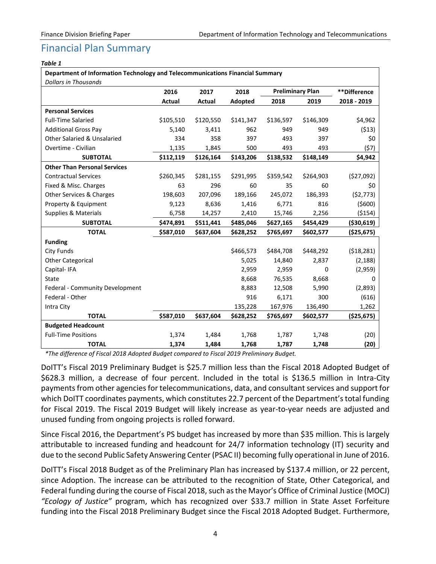## <span id="page-5-0"></span>Financial Plan Summary

#### *Table 1*

| Department of Information Technology and Telecommunications Financial Summary |           |           |           |                         |           |              |
|-------------------------------------------------------------------------------|-----------|-----------|-----------|-------------------------|-----------|--------------|
| <b>Dollars in Thousands</b>                                                   |           |           |           |                         |           |              |
|                                                                               | 2016      | 2017      | 2018      | <b>Preliminary Plan</b> |           | **Difference |
|                                                                               | Actual    | Actual    | Adopted   | 2018                    | 2019      | 2018 - 2019  |
| <b>Personal Services</b>                                                      |           |           |           |                         |           |              |
| <b>Full-Time Salaried</b>                                                     | \$105,510 | \$120,550 | \$141,347 | \$136,597               | \$146,309 | \$4,962      |
| <b>Additional Gross Pay</b>                                                   | 5,140     | 3,411     | 962       | 949                     | 949       | (513)        |
| <b>Other Salaried &amp; Unsalaried</b>                                        | 334       | 358       | 397       | 493                     | 397       | \$0          |
| Overtime - Civilian                                                           | 1,135     | 1,845     | 500       | 493                     | 493       | (57)         |
| <b>SUBTOTAL</b>                                                               | \$112,119 | \$126,164 | \$143,206 | \$138,532               | \$148,149 | \$4,942      |
| <b>Other Than Personal Services</b>                                           |           |           |           |                         |           |              |
| <b>Contractual Services</b>                                                   | \$260,345 | \$281,155 | \$291,995 | \$359,542               | \$264,903 | (\$27,092)   |
| Fixed & Misc. Charges                                                         | 63        | 296       | 60        | 35                      | 60        | \$0          |
| Other Services & Charges                                                      | 198,603   | 207,096   | 189,166   | 245,072                 | 186,393   | (52, 773)    |
| Property & Equipment                                                          | 9,123     | 8,636     | 1,416     | 6,771                   | 816       | (5600)       |
| Supplies & Materials                                                          | 6,758     | 14,257    | 2,410     | 15,746                  | 2,256     | (5154)       |
| <b>SUBTOTAL</b>                                                               | \$474,891 | \$511,441 | \$485,046 | \$627,165               | \$454,429 | ( \$30, 619) |
| <b>TOTAL</b>                                                                  | \$587,010 | \$637,604 | \$628,252 | \$765,697               | \$602,577 | (\$25,675)   |
| <b>Funding</b>                                                                |           |           |           |                         |           |              |
| <b>City Funds</b>                                                             |           |           | \$466,573 | \$484,708               | \$448,292 | (518, 281)   |
| <b>Other Categorical</b>                                                      |           |           | 5,025     | 14,840                  | 2,837     | (2, 188)     |
| Capital-IFA                                                                   |           |           | 2,959     | 2,959                   | 0         | (2,959)      |
| State                                                                         |           |           | 8,668     | 76,535                  | 8,668     | 0            |
| Federal - Community Development                                               |           |           | 8,883     | 12,508                  | 5,990     | (2,893)      |
| Federal - Other                                                               |           |           | 916       | 6,171                   | 300       | (616)        |
| Intra City                                                                    |           |           | 135,228   | 167,976                 | 136,490   | 1,262        |
| <b>TOTAL</b>                                                                  | \$587,010 | \$637,604 | \$628,252 | \$765,697               | \$602,577 | ( \$25,675)  |
| <b>Budgeted Headcount</b>                                                     |           |           |           |                         |           |              |
| <b>Full-Time Positions</b>                                                    | 1,374     | 1,484     | 1,768     | 1,787                   | 1,748     | (20)         |
| <b>TOTAL</b>                                                                  | 1,374     | 1,484     | 1,768     | 1,787                   | 1,748     | (20)         |

*\*The difference of Fiscal 2018 Adopted Budget compared to Fiscal 2019 Preliminary Budget.*

DoITT's Fiscal 2019 Preliminary Budget is \$25.7 million less than the Fiscal 2018 Adopted Budget of \$628.3 million, a decrease of four percent. Included in the total is \$136.5 million in Intra-City payments from other agencies for telecommunications, data, and consultant services and support for which DoITT coordinates payments, which constitutes 22.7 percent of the Department's total funding for Fiscal 2019. The Fiscal 2019 Budget will likely increase as year-to-year needs are adjusted and unused funding from ongoing projects is rolled forward.

Since Fiscal 2016, the Department's PS budget has increased by more than \$35 million. This is largely attributable to increased funding and headcount for 24/7 information technology (IT) security and due to the second Public Safety Answering Center (PSAC II) becoming fully operational in June of 2016.

DoITT's Fiscal 2018 Budget as of the Preliminary Plan has increased by \$137.4 million, or 22 percent, since Adoption. The increase can be attributed to the recognition of State, Other Categorical, and Federal funding during the course of Fiscal 2018, such as the Mayor's Office of Criminal Justice (MOCJ) *"Ecology of Justice"* program, which has recognized over \$33.7 million in State Asset Forfeiture funding into the Fiscal 2018 Preliminary Budget since the Fiscal 2018 Adopted Budget. Furthermore,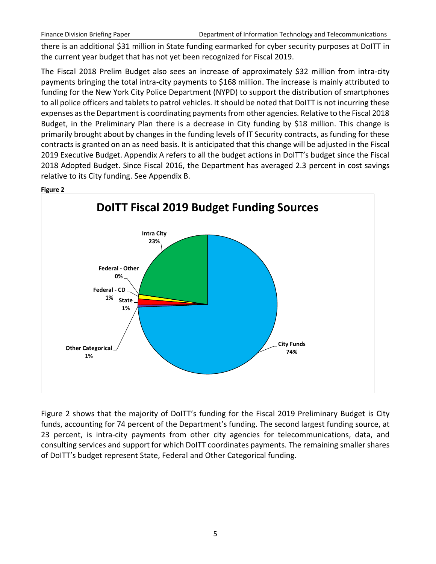there is an additional \$31 million in State funding earmarked for cyber security purposes at DoITT in the current year budget that has not yet been recognized for Fiscal 2019.

The Fiscal 2018 Prelim Budget also sees an increase of approximately \$32 million from intra-city payments bringing the total intra-city payments to \$168 million. The increase is mainly attributed to funding for the New York City Police Department (NYPD) to support the distribution of smartphones to all police officers and tablets to patrol vehicles. It should be noted that DoITT is not incurring these expenses as the Department is coordinating payments from other agencies. Relative to the Fiscal 2018 Budget, in the Preliminary Plan there is a decrease in City funding by \$18 million. This change is primarily brought about by changes in the funding levels of IT Security contracts, as funding for these contracts is granted on an as need basis. It is anticipated that this change will be adjusted in the Fiscal 2019 Executive Budget. Appendix A refers to all the budget actions in DoITT's budget since the Fiscal 2018 Adopted Budget. Since Fiscal 2016, the Department has averaged 2.3 percent in cost savings relative to its City funding. See Appendix B.



**Figure 2**

Figure 2 shows that the majority of DoITT's funding for the Fiscal 2019 Preliminary Budget is City funds, accounting for 74 percent of the Department's funding. The second largest funding source, at 23 percent, is intra-city payments from other city agencies for telecommunications, data, and consulting services and support for which DoITT coordinates payments. The remaining smaller shares of DoITT's budget represent State, Federal and Other Categorical funding.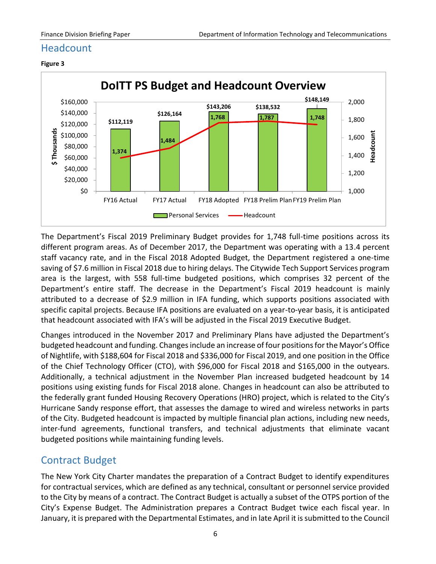## <span id="page-7-0"></span>**Headcount**



**Figure 3**

The Department's Fiscal 2019 Preliminary Budget provides for 1,748 full-time positions across its different program areas. As of December 2017, the Department was operating with a 13.4 percent staff vacancy rate, and in the Fiscal 2018 Adopted Budget, the Department registered a one-time saving of \$7.6 million in Fiscal 2018 due to hiring delays. The Citywide Tech Support Services program area is the largest, with 558 full-time budgeted positions, which comprises 32 percent of the Department's entire staff. The decrease in the Department's Fiscal 2019 headcount is mainly attributed to a decrease of \$2.9 million in IFA funding, which supports positions associated with specific capital projects. Because IFA positions are evaluated on a year-to-year basis, it is anticipated that headcount associated with IFA's will be adjusted in the Fiscal 2019 Executive Budget.

Changes introduced in the November 2017 and Preliminary Plans have adjusted the Department's budgeted headcount and funding. Changes include an increase of four positions for the Mayor's Office of Nightlife, with \$188,604 for Fiscal 2018 and \$336,000 for Fiscal 2019, and one position in the Office of the Chief Technology Officer (CTO), with \$96,000 for Fiscal 2018 and \$165,000 in the outyears. Additionally, a technical adjustment in the November Plan increased budgeted headcount by 14 positions using existing funds for Fiscal 2018 alone. Changes in headcount can also be attributed to the federally grant funded Housing Recovery Operations (HRO) project, which is related to the City's Hurricane Sandy response effort, that assesses the damage to wired and wireless networks in parts of the City. Budgeted headcount is impacted by multiple financial plan actions, including new needs, inter-fund agreements, functional transfers, and technical adjustments that eliminate vacant budgeted positions while maintaining funding levels.

## <span id="page-7-1"></span>Contract Budget

The New York City Charter mandates the preparation of a Contract Budget to identify expenditures for contractual services, which are defined as any technical, consultant or personnel service provided to the City by means of a contract. The Contract Budget is actually a subset of the OTPS portion of the City's Expense Budget. The Administration prepares a Contract Budget twice each fiscal year. In January, it is prepared with the Departmental Estimates, and in late April it is submitted to the Council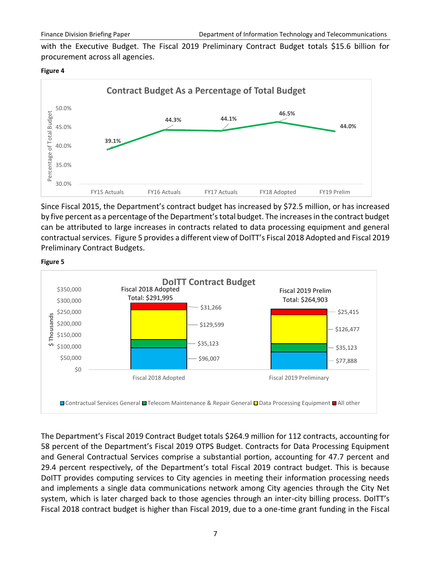with the Executive Budget. The Fiscal 2019 Preliminary Contract Budget totals \$15.6 billion for procurement across all agencies.

#### **Figure 4**



Since Fiscal 2015, the Department's contract budget has increased by \$72.5 million, or has increased by five percent as a percentage of the Department's total budget. The increases in the contract budget can be attributed to large increases in contracts related to data processing equipment and general contractual services. Figure 5 provides a different view of DoITT's Fiscal 2018 Adopted and Fiscal 2019 Preliminary Contract Budgets.



#### **Figure 5**

The Department's Fiscal 2019 Contract Budget totals \$264.9 million for 112 contracts, accounting for 58 percent of the Department's Fiscal 2019 OTPS Budget. Contracts for Data Processing Equipment and General Contractual Services comprise a substantial portion, accounting for 47.7 percent and 29.4 percent respectively, of the Department's total Fiscal 2019 contract budget. This is because DoITT provides computing services to City agencies in meeting their information processing needs and implements a single data communications network among City agencies through the City Net system, which is later charged back to those agencies through an inter-city billing process. DoITT's Fiscal 2018 contract budget is higher than Fiscal 2019, due to a one-time grant funding in the Fiscal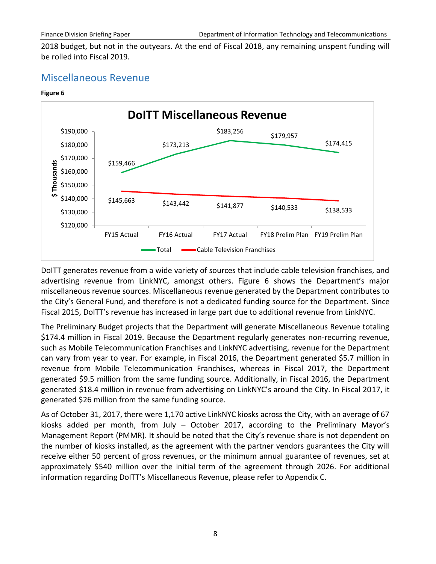2018 budget, but not in the outyears. At the end of Fiscal 2018, any remaining unspent funding will be rolled into Fiscal 2019.

## <span id="page-9-0"></span>Miscellaneous Revenue

#### **Figure 6**



DoITT generates revenue from a wide variety of sources that include cable television franchises, and advertising revenue from LinkNYC, amongst others. Figure 6 shows the Department's major miscellaneous revenue sources. Miscellaneous revenue generated by the Department contributes to the City's General Fund, and therefore is not a dedicated funding source for the Department. Since Fiscal 2015, DoITT's revenue has increased in large part due to additional revenue from LinkNYC.

The Preliminary Budget projects that the Department will generate Miscellaneous Revenue totaling \$174.4 million in Fiscal 2019. Because the Department regularly generates non-recurring revenue, such as Mobile Telecommunication Franchises and LinkNYC advertising, revenue for the Department can vary from year to year. For example, in Fiscal 2016, the Department generated \$5.7 million in revenue from Mobile Telecommunication Franchises, whereas in Fiscal 2017, the Department generated \$9.5 million from the same funding source. Additionally, in Fiscal 2016, the Department generated \$18.4 million in revenue from advertising on LinkNYC's around the City. In Fiscal 2017, it generated \$26 million from the same funding source.

As of October 31, 2017, there were 1,170 active LinkNYC kiosks across the City, with an average of 67 kiosks added per month, from July – October 2017, according to the Preliminary Mayor's Management Report (PMMR). It should be noted that the City's revenue share is not dependent on the number of kiosks installed, as the agreement with the partner vendors guarantees the City will receive either 50 percent of gross revenues, or the minimum annual guarantee of revenues, set at approximately \$540 million over the initial term of the agreement through 2026. For additional information regarding DoITT's Miscellaneous Revenue, please refer to Appendix C.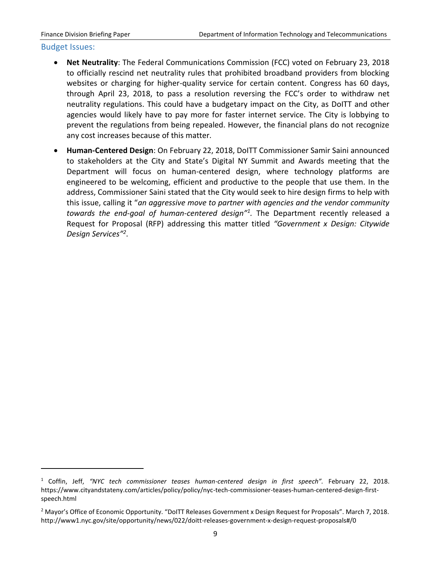#### <span id="page-10-0"></span>Budget Issues:

 $\overline{a}$ 

- **Net Neutrality**: The Federal Communications Commission (FCC) voted on February 23, 2018 to officially rescind net neutrality rules that prohibited broadband providers from blocking websites or charging for higher-quality service for certain content. Congress has 60 days, through April 23, 2018, to pass a resolution reversing the FCC's order to withdraw net neutrality regulations. This could have a budgetary impact on the City, as DoITT and other agencies would likely have to pay more for faster internet service. The City is lobbying to prevent the regulations from being repealed. However, the financial plans do not recognize any cost increases because of this matter.
- **Human-Centered Design**: On February 22, 2018, DoITT Commissioner Samir Saini announced to stakeholders at the City and State's Digital NY Summit and Awards meeting that the Department will focus on human-centered design, where technology platforms are engineered to be welcoming, efficient and productive to the people that use them. In the address, Commissioner Saini stated that the City would seek to hire design firms to help with this issue, calling it "*an aggressive move to partner with agencies and the vendor community towards the end-goal of human-centered design"<sup>1</sup> .* The Department recently released a Request for Proposal (RFP) addressing this matter titled *"Government x Design: Citywide Design Services"<sup>2</sup>* .

<sup>1</sup> Coffin, Jeff, *"NYC tech commissioner teases human-centered design in first speech".* February 22, 2018. https://www.cityandstateny.com/articles/policy/policy/nyc-tech-commissioner-teases-human-centered-design-firstspeech.html

<sup>2</sup> Mayor's Office of Economic Opportunity. "DoITT Releases Government x Design Request for Proposals". March 7, 2018. http://www1.nyc.gov/site/opportunity/news/022/doitt-releases-government-x-design-request-proposals#/0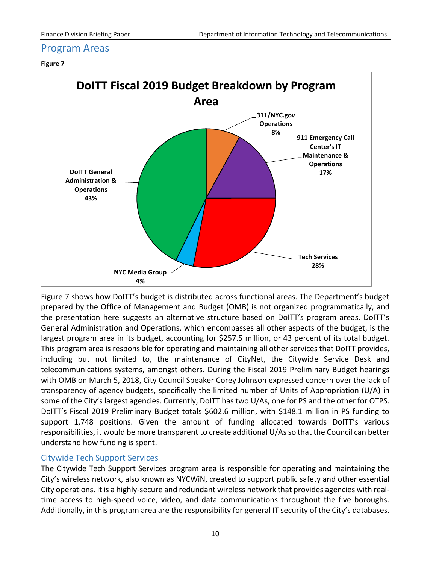## <span id="page-11-0"></span>Program Areas

#### **Figure 7**



Figure 7 shows how DoITT's budget is distributed across functional areas. The Department's budget prepared by the Office of Management and Budget (OMB) is not organized programmatically, and the presentation here suggests an alternative structure based on DoITT's program areas. DoITT's General Administration and Operations, which encompasses all other aspects of the budget, is the largest program area in its budget, accounting for \$257.5 million, or 43 percent of its total budget. This program area is responsible for operating and maintaining all other services that DoITT provides, including but not limited to, the maintenance of CityNet, the Citywide Service Desk and telecommunications systems, amongst others. During the Fiscal 2019 Preliminary Budget hearings with OMB on March 5, 2018, City Council Speaker Corey Johnson expressed concern over the lack of transparency of agency budgets, specifically the limited number of Units of Appropriation (U/A) in some of the City's largest agencies. Currently, DoITT has two U/As, one for PS and the other for OTPS. DoITT's Fiscal 2019 Preliminary Budget totals \$602.6 million, with \$148.1 million in PS funding to support 1,748 positions. Given the amount of funding allocated towards DoITT's various responsibilities, it would be more transparent to create additional U/As so that the Council can better understand how funding is spent.

## <span id="page-11-1"></span>Citywide Tech Support Services

The Citywide Tech Support Services program area is responsible for operating and maintaining the City's wireless network, also known as NYCWiN, created to support public safety and other essential City operations. It is a highly-secure and redundant wireless network that provides agencies with realtime access to high-speed voice, video, and data communications throughout the five boroughs. Additionally, in this program area are the responsibility for general IT security of the City's databases.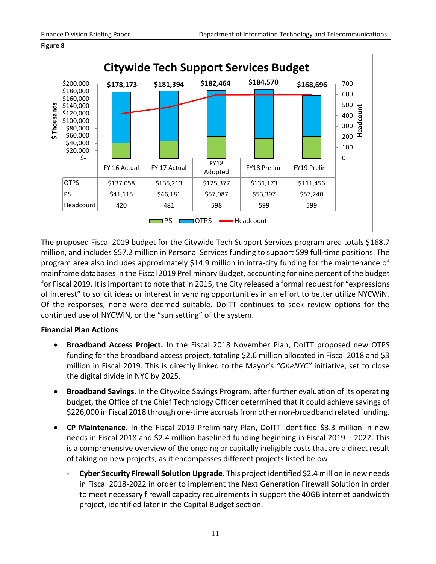#### **Figure 8**



The proposed Fiscal 2019 budget for the Citywide Tech Support Services program area totals \$168.7 million, and includes \$57.2 million in Personal Services funding to support 599 full-time positions. The program area also includes approximately \$14.9 million in intra-city funding for the maintenance of mainframe databases in the Fiscal 2019 Preliminary Budget, accounting for nine percent of the budget for Fiscal 2019. It is important to note that in 2015, the City released a formal request for "expressions of interest" to solicit ideas or interest in vending opportunities in an effort to better utilize NYCWiN. Of the responses, none were deemed suitable. DoITT continues to seek review options for the continued use of NYCWiN, or the "sun setting" of the system.

### **Financial Plan Actions**

- **Broadband Access Project.** In the Fiscal 2018 November Plan, DoITT proposed new OTPS funding for the broadband access project, totaling \$2.6 million allocated in Fiscal 2018 and \$3 million in Fiscal 2019. This is directly linked to the Mayor's *"OneNYC"* initiative, set to close the digital divide in NYC by 2025.
- **Broadband Savings**. In the Citywide Savings Program, after further evaluation of its operating budget, the Office of the Chief Technology Officer determined that it could achieve savings of \$226,000 in Fiscal 2018 through one-time accruals from other non-broadband related funding.
- **CP Maintenance.** In the Fiscal 2019 Preliminary Plan, DoITT identified \$3.3 million in new needs in Fiscal 2018 and \$2.4 million baselined funding beginning in Fiscal 2019 – 2022. This is a comprehensive overview of the ongoing or capitally ineligible costs that are a direct result of taking on new projects, as it encompasses different projects listed below:
	- **Cyber Security Firewall Solution Upgrade**. This project identified \$2.4 million in new needs in Fiscal 2018-2022 in order to implement the Next Generation Firewall Solution in order to meet necessary firewall capacity requirements in support the 40GB internet bandwidth project, identified later in the Capital Budget section.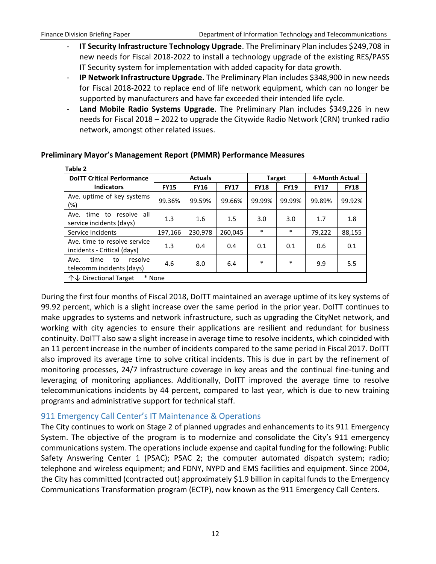$-11 - 2$ 

- **IT Security Infrastructure Technology Upgrade**. The Preliminary Plan includes \$249,708 in new needs for Fiscal 2018-2022 to install a technology upgrade of the existing RES/PASS IT Security system for implementation with added capacity for data growth.
- **IP Network Infrastructure Upgrade**. The Preliminary Plan includes \$348,900 in new needs for Fiscal 2018-2022 to replace end of life network equipment, which can no longer be supported by manufacturers and have far exceeded their intended life cycle.
- **Land Mobile Radio Systems Upgrade**. The Preliminary Plan includes \$349,226 in new needs for Fiscal 2018 – 2022 to upgrade the Citywide Radio Network (CRN) trunked radio network, amongst other related issues.

| rabie z                                                       |             |                |             |             |               |                |             |
|---------------------------------------------------------------|-------------|----------------|-------------|-------------|---------------|----------------|-------------|
| <b>DoITT Critical Performance</b>                             |             | <b>Actuals</b> |             |             | <b>Target</b> | 4-Month Actual |             |
| <b>Indicators</b>                                             | <b>FY15</b> | <b>FY16</b>    | <b>FY17</b> | <b>FY18</b> | <b>FY19</b>   | <b>FY17</b>    | <b>FY18</b> |
| Ave. uptime of key systems<br>(%)                             | 99.36%      | 99.59%         | 99.66%      | 99.99%      | 99.99%        | 99.89%         | 99.92%      |
| all<br>resolve<br>time to<br>Ave.<br>service incidents (days) | 1.3         | 1.6            | 1.5         | 3.0         | 3.0           | 1.7            | 1.8         |
| Service Incidents                                             | 197,166     | 230,978        | 260.045     | $\ast$      | $\ast$        | 79,222         | 88,155      |
| Ave. time to resolve service<br>incidents - Critical (days)   | 1.3         | 0.4            | 0.4         | 0.1         | 0.1           | 0.6            | 0.1         |
| time<br>resolve<br>Ave.<br>to<br>telecomm incidents (days)    | 4.6         | 8.0            | 6.4         | $\ast$      | *             | 9.9            | 5.5         |
| ← Directional Target                                          | * None      |                |             |             |               |                |             |

### **Preliminary Mayor's Management Report (PMMR) Performance Measures**

During the first four months of Fiscal 2018, DoITT maintained an average uptime of its key systems of 99.92 percent, which is a slight increase over the same period in the prior year. DoITT continues to make upgrades to systems and network infrastructure, such as upgrading the CityNet network, and working with city agencies to ensure their applications are resilient and redundant for business continuity. DoITT also saw a slight increase in average time to resolve incidents, which coincided with an 11 percent increase in the number of incidents compared to the same period in Fiscal 2017. DoITT also improved its average time to solve critical incidents. This is due in part by the refinement of monitoring processes, 24/7 infrastructure coverage in key areas and the continual fine-tuning and leveraging of monitoring appliances. Additionally, DoITT improved the average time to resolve telecommunications incidents by 44 percent, compared to last year, which is due to new training programs and administrative support for technical staff.

## <span id="page-13-0"></span>911 Emergency Call Center's IT Maintenance & Operations

The City continues to work on Stage 2 of planned upgrades and enhancements to its 911 Emergency System. The objective of the program is to modernize and consolidate the City's 911 emergency communications system. The operations include expense and capital funding for the following: Public Safety Answering Center 1 (PSAC); PSAC 2; the computer automated dispatch system; radio; telephone and wireless equipment; and FDNY, NYPD and EMS facilities and equipment. Since 2004, the City has committed (contracted out) approximately \$1.9 billion in capital funds to the Emergency Communications Transformation program (ECTP), now known as the 911 Emergency Call Centers.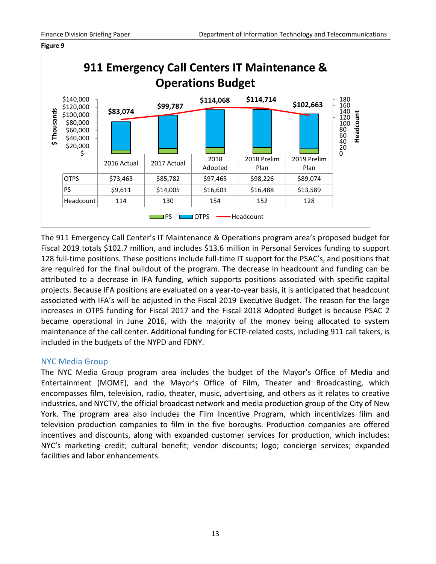#### **Figure 9**



The 911 Emergency Call Center's IT Maintenance & Operations program area's proposed budget for Fiscal 2019 totals \$102.7 million, and includes \$13.6 million in Personal Services funding to support 128 full-time positions. These positions include full-time IT support for the PSAC's, and positions that are required for the final buildout of the program. The decrease in headcount and funding can be attributed to a decrease in IFA funding, which supports positions associated with specific capital projects. Because IFA positions are evaluated on a year-to-year basis, it is anticipated that headcount associated with IFA's will be adjusted in the Fiscal 2019 Executive Budget. The reason for the large increases in OTPS funding for Fiscal 2017 and the Fiscal 2018 Adopted Budget is because PSAC 2 became operational in June 2016, with the majority of the money being allocated to system maintenance of the call center. Additional funding for ECTP-related costs, including 911 call takers, is included in the budgets of the NYPD and FDNY.

### <span id="page-14-0"></span>NYC Media Group

The NYC Media Group program area includes the budget of the Mayor's Office of Media and Entertainment (MOME), and the Mayor's Office of Film, Theater and Broadcasting, which encompasses film, television, radio, theater, music, advertising, and others as it relates to creative industries, and NYCTV, the official broadcast network and media production group of the City of New York. The program area also includes the Film Incentive Program, which incentivizes film and television production companies to film in the five boroughs. Production companies are offered incentives and discounts, along with expanded customer services for production, which includes: NYC's marketing credit; cultural benefit; vendor discounts; logo; concierge services; expanded facilities and labor enhancements.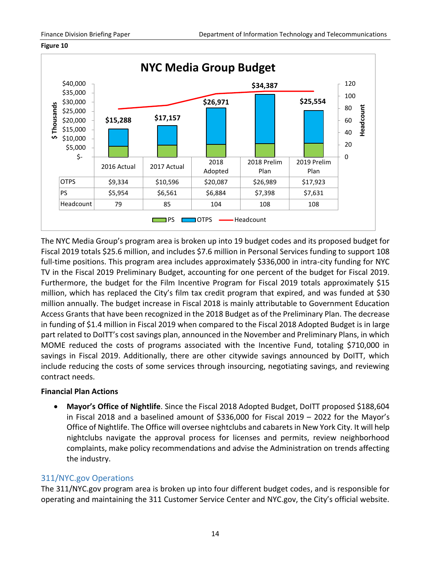

**Figure 10**

The NYC Media Group's program area is broken up into 19 budget codes and its proposed budget for Fiscal 2019 totals \$25.6 million, and includes \$7.6 million in Personal Services funding to support 108 full-time positions. This program area includes approximately \$336,000 in intra-city funding for NYC TV in the Fiscal 2019 Preliminary Budget, accounting for one percent of the budget for Fiscal 2019. Furthermore, the budget for the Film Incentive Program for Fiscal 2019 totals approximately \$15 million, which has replaced the City's film tax credit program that expired, and was funded at \$30 million annually. The budget increase in Fiscal 2018 is mainly attributable to Government Education Access Grants that have been recognized in the 2018 Budget as of the Preliminary Plan. The decrease in funding of \$1.4 million in Fiscal 2019 when compared to the Fiscal 2018 Adopted Budget is in large part related to DoITT's cost savings plan, announced in the November and Preliminary Plans, in which MOME reduced the costs of programs associated with the Incentive Fund, totaling \$710,000 in savings in Fiscal 2019. Additionally, there are other citywide savings announced by DoITT, which include reducing the costs of some services through insourcing, negotiating savings, and reviewing contract needs.

### **Financial Plan Actions**

 **Mayor's Office of Nightlife**. Since the Fiscal 2018 Adopted Budget, DoITT proposed \$188,604 in Fiscal 2018 and a baselined amount of \$336,000 for Fiscal 2019 – 2022 for the Mayor's Office of Nightlife. The Office will oversee nightclubs and cabarets in New York City. It will help nightclubs navigate the approval process for licenses and permits, review neighborhood complaints, make policy recommendations and advise the Administration on trends affecting the industry.

## <span id="page-15-0"></span>311/NYC.gov Operations

The 311/NYC.gov program area is broken up into four different budget codes, and is responsible for operating and maintaining the 311 Customer Service Center and NYC.gov, the City's official website.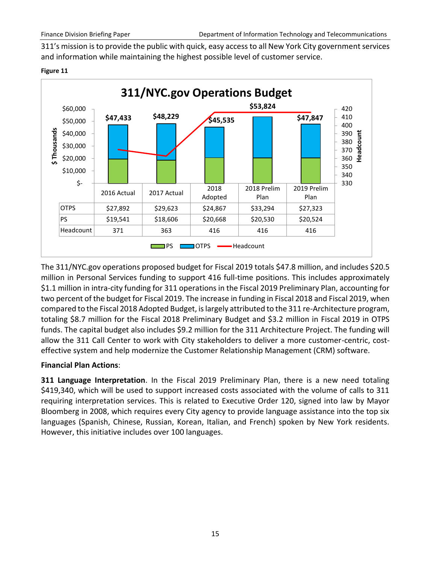311's mission is to provide the public with quick, easy access to all New York City government services and information while maintaining the highest possible level of customer service.

#### **Figure 11**



The 311/NYC.gov operations proposed budget for Fiscal 2019 totals \$47.8 million, and includes \$20.5 million in Personal Services funding to support 416 full-time positions. This includes approximately \$1.1 million in intra-city funding for 311 operations in the Fiscal 2019 Preliminary Plan, accounting for two percent of the budget for Fiscal 2019. The increase in funding in Fiscal 2018 and Fiscal 2019, when compared to the Fiscal 2018 Adopted Budget, is largely attributed to the 311 re-Architecture program, totaling \$8.7 million for the Fiscal 2018 Preliminary Budget and \$3.2 million in Fiscal 2019 in OTPS funds. The capital budget also includes \$9.2 million for the 311 Architecture Project. The funding will allow the 311 Call Center to work with City stakeholders to deliver a more customer-centric, costeffective system and help modernize the Customer Relationship Management (CRM) software.

### **Financial Plan Actions**:

**311 Language Interpretation**. In the Fiscal 2019 Preliminary Plan, there is a new need totaling \$419,340, which will be used to support increased costs associated with the volume of calls to 311 requiring interpretation services. This is related to Executive Order 120, signed into law by Mayor Bloomberg in 2008, which requires every City agency to provide language assistance into the top six languages (Spanish, Chinese, Russian, Korean, Italian, and French) spoken by New York residents. However, this initiative includes over 100 languages.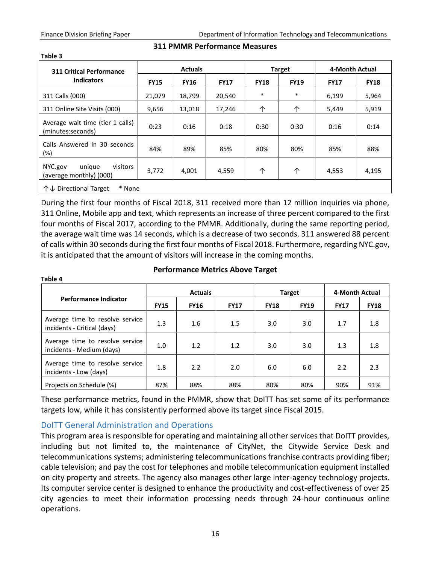**Table 3**

| <b>311 Critical Performance</b>                          |             | <b>Actuals</b> |             |             | <b>Target</b> | 4-Month Actual |             |
|----------------------------------------------------------|-------------|----------------|-------------|-------------|---------------|----------------|-------------|
| <b>Indicators</b>                                        | <b>FY15</b> | <b>FY16</b>    | <b>FY17</b> | <b>FY18</b> | <b>FY19</b>   | <b>FY17</b>    | <b>FY18</b> |
| 311 Calls (000)                                          | 21,079      | 18,799         | 20,540      | $\ast$      | $\ast$        | 6,199          | 5,964       |
| 311 Online Site Visits (000)                             | 9,656       | 13,018         | 17,246      | ↑           | ↑             | 5,449          | 5,919       |
| Average wait time (tier 1 calls)<br>(minutes:seconds)    | 0:23        | 0:16           | 0:18        | 0:30        | 0:30          | 0:16           | 0:14        |
| Calls Answered in 30 seconds<br>$(\%)$                   | 84%         | 89%            | 85%         | 80%         | 80%           | 85%            | 88%         |
| NYC.gov<br>visitors<br>unique<br>(average monthly) (000) | 3,772       | 4,001          | 4,559       | 个           | 个             | 4,553          | 4,195       |
| ← Directional Target<br>* None                           |             |                |             |             |               |                |             |

### **311 PMMR Performance Measures**

During the first four months of Fiscal 2018, 311 received more than 12 million inquiries via phone, 311 Online, Mobile app and text, which represents an increase of three percent compared to the first four months of Fiscal 2017, according to the PMMR. Additionally, during the same reporting period, the average wait time was 14 seconds, which is a decrease of two seconds. 311 answered 88 percent of calls within 30 seconds during the first four months of Fiscal 2018. Furthermore, regarding NYC.gov, it is anticipated that the amount of visitors will increase in the coming months.

#### **Table 4**

#### **Performance Metrics Above Target**

|                                                                |             | <b>Actuals</b> |             | <b>Target</b> |             | 4-Month Actual |             |
|----------------------------------------------------------------|-------------|----------------|-------------|---------------|-------------|----------------|-------------|
| <b>Performance Indicator</b>                                   | <b>FY15</b> | <b>FY16</b>    | <b>FY17</b> | <b>FY18</b>   | <b>FY19</b> | <b>FY17</b>    | <b>FY18</b> |
| Average time to resolve service<br>incidents - Critical (days) | 1.3         | 1.6            | 1.5         | 3.0           | 3.0         | 1.7            | 1.8         |
| Average time to resolve service<br>incidents - Medium (days)   | 1.0         | 1.2            | 1.2         | 3.0           | 3.0         | 1.3            | 1.8         |
| Average time to resolve service<br>incidents - Low (days)      | 1.8         | 2.2            | 2.0         | 6.0           | 6.0         | 2.2            | 2.3         |
| Projects on Schedule (%)                                       | 87%         | 88%            | 88%         | 80%           | 80%         | 90%            | 91%         |

These performance metrics, found in the PMMR, show that DoITT has set some of its performance targets low, while it has consistently performed above its target since Fiscal 2015.

## <span id="page-17-0"></span>DoITT General Administration and Operations

This program area is responsible for operating and maintaining all other services that DoITT provides, including but not limited to, the maintenance of CityNet, the Citywide Service Desk and telecommunications systems; administering telecommunications franchise contracts providing fiber; cable television; and pay the cost for telephones and mobile telecommunication equipment installed on city property and streets. The agency also manages other large inter-agency technology projects. Its computer service center is designed to enhance the productivity and cost-effectiveness of over 25 city agencies to meet their information processing needs through 24-hour continuous online operations.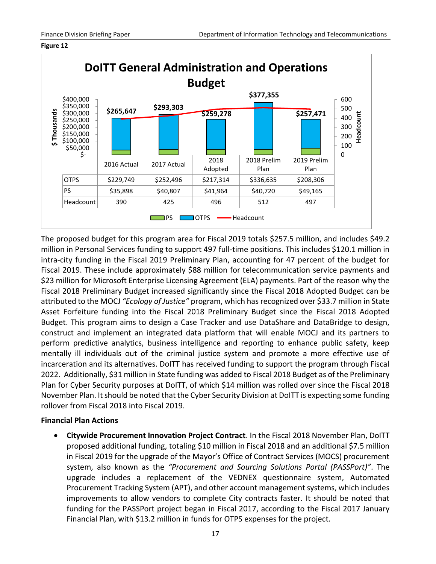#### **Figure 12**



The proposed budget for this program area for Fiscal 2019 totals \$257.5 million, and includes \$49.2 million in Personal Services funding to support 497 full-time positions. This includes \$120.1 million in intra-city funding in the Fiscal 2019 Preliminary Plan, accounting for 47 percent of the budget for Fiscal 2019. These include approximately \$88 million for telecommunication service payments and \$23 million for Microsoft Enterprise Licensing Agreement (ELA) payments. Part of the reason why the Fiscal 2018 Preliminary Budget increased significantly since the Fiscal 2018 Adopted Budget can be attributed to the MOCJ *"Ecology of Justice"* program, which has recognized over \$33.7 million in State Asset Forfeiture funding into the Fiscal 2018 Preliminary Budget since the Fiscal 2018 Adopted Budget. This program aims to design a Case Tracker and use DataShare and DataBridge to design, construct and implement an integrated data platform that will enable MOCJ and its partners to perform predictive analytics, business intelligence and reporting to enhance public safety, keep mentally ill individuals out of the criminal justice system and promote a more effective use of incarceration and its alternatives. DoITT has received funding to support the program through Fiscal 2022. Additionally, \$31 million in State funding was added to Fiscal 2018 Budget as of the Preliminary Plan for Cyber Security purposes at DoITT, of which \$14 million was rolled over since the Fiscal 2018 November Plan. It should be noted that the Cyber Security Division at DoITT is expecting some funding rollover from Fiscal 2018 into Fiscal 2019.

#### **Financial Plan Actions**

 **Citywide Procurement Innovation Project Contract**. In the Fiscal 2018 November Plan, DoITT proposed additional funding, totaling \$10 million in Fiscal 2018 and an additional \$7.5 million in Fiscal 2019 for the upgrade of the Mayor's Office of Contract Services (MOCS) procurement system, also known as the *"Procurement and Sourcing Solutions Portal (PASSPort)"*. The upgrade includes a replacement of the VEDNEX questionnaire system, Automated Procurement Tracking System (APT), and other account management systems, which includes improvements to allow vendors to complete City contracts faster. It should be noted that funding for the PASSPort project began in Fiscal 2017, according to the Fiscal 2017 January Financial Plan, with \$13.2 million in funds for OTPS expenses for the project.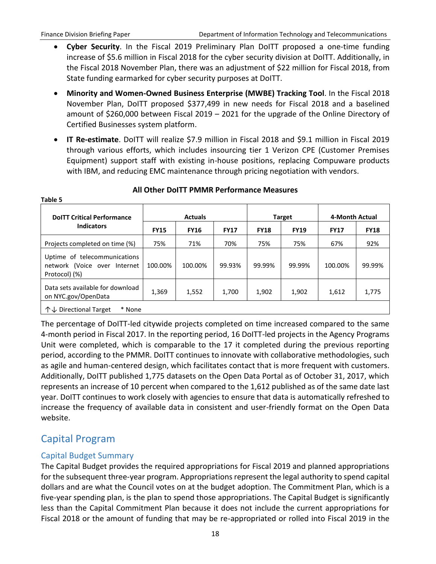- **Cyber Security**. In the Fiscal 2019 Preliminary Plan DoITT proposed a one-time funding increase of \$5.6 million in Fiscal 2018 for the cyber security division at DoITT. Additionally, in the Fiscal 2018 November Plan, there was an adjustment of \$22 million for Fiscal 2018, from State funding earmarked for cyber security purposes at DoITT.
- **Minority and Women-Owned Business Enterprise (MWBE) Tracking Tool**. In the Fiscal 2018 November Plan, DoITT proposed \$377,499 in new needs for Fiscal 2018 and a baselined amount of \$260,000 between Fiscal 2019 – 2021 for the upgrade of the Online Directory of Certified Businesses system platform.
- **IT Re-estimate**. DoITT will realize \$7.9 million in Fiscal 2018 and \$9.1 million in Fiscal 2019 through various efforts, which includes insourcing tier 1 Verizon CPE (Customer Premises Equipment) support staff with existing in-house positions, replacing Compuware products with IBM, and reducing EMC maintenance through pricing negotiation with vendors.

| Table 5                                                                       |             |                |             |             |               |                |             |
|-------------------------------------------------------------------------------|-------------|----------------|-------------|-------------|---------------|----------------|-------------|
| <b>DoITT Critical Performance</b>                                             |             | <b>Actuals</b> |             |             | <b>Target</b> | 4-Month Actual |             |
| <b>Indicators</b>                                                             | <b>FY15</b> | <b>FY16</b>    | <b>FY17</b> | <b>FY18</b> | <b>FY19</b>   | <b>FY17</b>    | <b>FY18</b> |
| Projects completed on time (%)                                                | 75%         | 71%            | 70%         | 75%         | 75%           | 67%            | 92%         |
| Uptime of telecommunications<br>network (Voice over Internet<br>Protocol) (%) | 100.00%     | 100.00%        | 99.93%      | 99.99%      | 99.99%        | 100.00%        | 99.99%      |
| Data sets available for download<br>on NYC.gov/OpenData                       | 1,369       | 1,552          | 1,700       | 1,902       | 1,902         | 1,612          | 1,775       |
| * None<br>←↓ Directional Target                                               |             |                |             |             |               |                |             |

#### **All Other DoITT PMMR Performance Measures**

The percentage of DoITT-led citywide projects completed on time increased compared to the same 4-month period in Fiscal 2017. In the reporting period, 16 DoITT-led projects in the Agency Programs Unit were completed, which is comparable to the 17 it completed during the previous reporting period, according to the PMMR. DoITT continues to innovate with collaborative methodologies, such as agile and human-centered design, which facilitates contact that is more frequent with customers. Additionally, DoITT published 1,775 datasets on the Open Data Portal as of October 31, 2017, which represents an increase of 10 percent when compared to the 1,612 published as of the same date last year. DoITT continues to work closely with agencies to ensure that data is automatically refreshed to increase the frequency of available data in consistent and user-friendly format on the Open Data website.

## <span id="page-19-0"></span>Capital Program

### <span id="page-19-1"></span>Capital Budget Summary

The Capital Budget provides the required appropriations for Fiscal 2019 and planned appropriations for the subsequent three-year program. Appropriations represent the legal authority to spend capital dollars and are what the Council votes on at the budget adoption. The Commitment Plan, which is a five-year spending plan, is the plan to spend those appropriations. The Capital Budget is significantly less than the Capital Commitment Plan because it does not include the current appropriations for Fiscal 2018 or the amount of funding that may be re-appropriated or rolled into Fiscal 2019 in the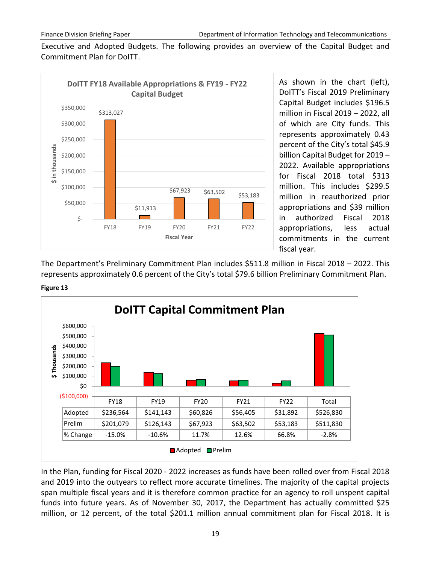Executive and Adopted Budgets. The following provides an overview of the Capital Budget and Commitment Plan for DoITT.



As shown in the chart (left), DoITT's Fiscal 2019 Preliminary Capital Budget includes \$196.5 million in Fiscal 2019 – 2022, all of which are City funds. This represents approximately 0.43 percent of the City's total \$45.9 billion Capital Budget for 2019 – 2022. Available appropriations for Fiscal 2018 total \$313 million. This includes \$299.5 million in reauthorized prior appropriations and \$39 million in authorized Fiscal 2018 appropriations, less actual commitments in the current fiscal year.

The Department's Preliminary Commitment Plan includes \$511.8 million in Fiscal 2018 – 2022. This represents approximately 0.6 percent of the City's total \$79.6 billion Preliminary Commitment Plan.





In the Plan, funding for Fiscal 2020 - 2022 increases as funds have been rolled over from Fiscal 2018 and 2019 into the outyears to reflect more accurate timelines. The majority of the capital projects span multiple fiscal years and it is therefore common practice for an agency to roll unspent capital funds into future years. As of November 30, 2017, the Department has actually committed \$25 million, or 12 percent, of the total \$201.1 million annual commitment plan for Fiscal 2018. It is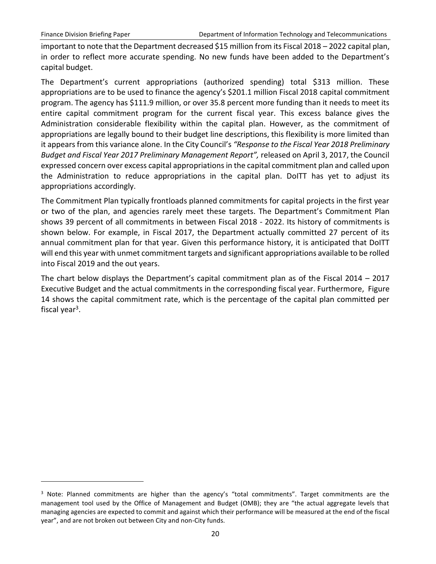$\overline{a}$ 

important to note that the Department decreased \$15 million from its Fiscal 2018 – 2022 capital plan, in order to reflect more accurate spending. No new funds have been added to the Department's capital budget.

The Department's current appropriations (authorized spending) total \$313 million. These appropriations are to be used to finance the agency's \$201.1 million Fiscal 2018 capital commitment program. The agency has \$111.9 million, or over 35.8 percent more funding than it needs to meet its entire capital commitment program for the current fiscal year. This excess balance gives the Administration considerable flexibility within the capital plan. However, as the commitment of appropriations are legally bound to their budget line descriptions, this flexibility is more limited than it appears from this variance alone. In the City Council's *"Response to the Fiscal Year 2018 Preliminary Budget and Fiscal Year 2017 Preliminary Management Report",* released on April 3, 2017, the Council expressed concern over excess capital appropriations in the capital commitment plan and called upon the Administration to reduce appropriations in the capital plan. DoITT has yet to adjust its appropriations accordingly.

The Commitment Plan typically frontloads planned commitments for capital projects in the first year or two of the plan, and agencies rarely meet these targets. The Department's Commitment Plan shows 39 percent of all commitments in between Fiscal 2018 - 2022. Its history of commitments is shown below. For example, in Fiscal 2017, the Department actually committed 27 percent of its annual commitment plan for that year. Given this performance history, it is anticipated that DoITT will end this year with unmet commitment targets and significant appropriations available to be rolled into Fiscal 2019 and the out years.

The chart below displays the Department's capital commitment plan as of the Fiscal 2014 – 2017 Executive Budget and the actual commitments in the corresponding fiscal year. Furthermore, Figure 14 shows the capital commitment rate, which is the percentage of the capital plan committed per fiscal year<sup>3</sup>.

 $3$  Note: Planned commitments are higher than the agency's "total commitments". Target commitments are the management tool used by the Office of Management and Budget (OMB); they are "the actual aggregate levels that managing agencies are expected to commit and against which their performance will be measured at the end of the fiscal year", and are not broken out between City and non-City funds.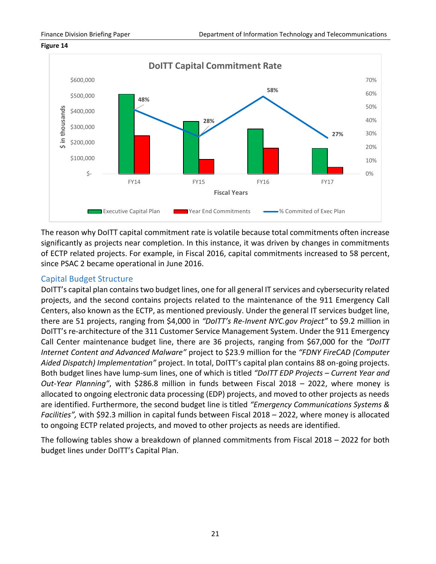



The reason why DoITT capital commitment rate is volatile because total commitments often increase significantly as projects near completion. In this instance, it was driven by changes in commitments of ECTP related projects. For example, in Fiscal 2016, capital commitments increased to 58 percent, since PSAC 2 became operational in June 2016.

### <span id="page-22-0"></span>Capital Budget Structure

DoITT's capital plan contains two budget lines, one for all general IT services and cybersecurity related projects, and the second contains projects related to the maintenance of the 911 Emergency Call Centers, also known as the ECTP, as mentioned previously. Under the general IT services budget line, there are 51 projects, ranging from \$4,000 in *"DoITT's Re-Invent NYC.gov Project"* to \$9.2 million in DoITT's re-architecture of the 311 Customer Service Management System. Under the 911 Emergency Call Center maintenance budget line, there are 36 projects, ranging from \$67,000 for the *"DoITT Internet Content and Advanced Malware"* project to \$23.9 million for the *"FDNY FireCAD (Computer Aided Dispatch) Implementation"* project. In total, DoITT's capital plan contains 88 on-going projects. Both budget lines have lump-sum lines, one of which is titled *"DoITT EDP Projects – Current Year and Out-Year Planning"*, with \$286.8 million in funds between Fiscal 2018 – 2022, where money is allocated to ongoing electronic data processing (EDP) projects, and moved to other projects as needs are identified. Furthermore, the second budget line is titled *"Emergency Communications Systems & Facilities",* with \$92.3 million in capital funds between Fiscal 2018 – 2022, where money is allocated to ongoing ECTP related projects, and moved to other projects as needs are identified.

The following tables show a breakdown of planned commitments from Fiscal 2018 – 2022 for both budget lines under DoITT's Capital Plan.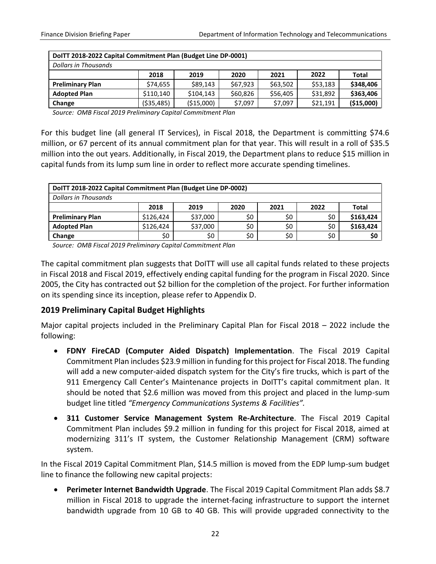| DoITT 2018-2022 Capital Commitment Plan (Budget Line DP-0001) |             |             |          |          |          |              |
|---------------------------------------------------------------|-------------|-------------|----------|----------|----------|--------------|
| <b>Dollars in Thousands</b>                                   |             |             |          |          |          |              |
|                                                               | 2018        | 2019        | 2020     | 2021     | 2022     | <b>Total</b> |
| <b>Preliminary Plan</b>                                       | \$74,655    | \$89,143    | \$67,923 | \$63,502 | \$53,183 | \$348,406    |
| <b>Adopted Plan</b>                                           | \$110,140   | \$104,143   | \$60,826 | \$56,405 | \$31,892 | \$363,406    |
| Change                                                        | ( \$35,485) | ( \$15,000) | \$7,097  | \$7,097  | \$21,191 | (\$15,000)   |

*Source: OMB Fiscal 2019 Preliminary Capital Commitment Plan*

For this budget line (all general IT Services), in Fiscal 2018, the Department is committing \$74.6 million, or 67 percent of its annual commitment plan for that year. This will result in a roll of \$35.5 million into the out years. Additionally, in Fiscal 2019, the Department plans to reduce \$15 million in capital funds from its lump sum line in order to reflect more accurate spending timelines.

| DoITT 2018-2022 Capital Commitment Plan (Budget Line DP-0002) |           |          |      |      |      |           |
|---------------------------------------------------------------|-----------|----------|------|------|------|-----------|
| <b>Dollars in Thousands</b>                                   |           |          |      |      |      |           |
|                                                               | 2018      | 2019     | 2020 | 2021 | 2022 | Total     |
| <b>Preliminary Plan</b>                                       | \$126,424 | \$37,000 | \$0  | \$0  | \$0  | \$163,424 |
| <b>Adopted Plan</b>                                           | \$126,424 | \$37,000 | S0   | \$0  | \$0  | \$163,424 |
| Change                                                        | \$0       | \$0      | Ś0   | \$0  | \$0  | \$0       |

*Source: OMB Fiscal 2019 Preliminary Capital Commitment Plan*

The capital commitment plan suggests that DoITT will use all capital funds related to these projects in Fiscal 2018 and Fiscal 2019, effectively ending capital funding for the program in Fiscal 2020. Since 2005, the City has contracted out \$2 billion for the completion of the project. For further information on its spending since its inception, please refer to Appendix D.

## <span id="page-23-0"></span>**2019 Preliminary Capital Budget Highlights**

Major capital projects included in the Preliminary Capital Plan for Fiscal 2018 – 2022 include the following:

- **FDNY FireCAD (Computer Aided Dispatch) Implementation**. The Fiscal 2019 Capital Commitment Plan includes \$23.9 million in funding for this project for Fiscal 2018. The funding will add a new computer-aided dispatch system for the City's fire trucks, which is part of the 911 Emergency Call Center's Maintenance projects in DoITT's capital commitment plan. It should be noted that \$2.6 million was moved from this project and placed in the lump-sum budget line titled *"Emergency Communications Systems & Facilities".*
- **311 Customer Service Management System Re-Architecture**. The Fiscal 2019 Capital Commitment Plan includes \$9.2 million in funding for this project for Fiscal 2018, aimed at modernizing 311's IT system, the Customer Relationship Management (CRM) software system.

In the Fiscal 2019 Capital Commitment Plan, \$14.5 million is moved from the EDP lump-sum budget line to finance the following new capital projects:

**Perimeter Internet Bandwidth Upgrade**. The Fiscal 2019 Capital Commitment Plan adds \$8.7 million in Fiscal 2018 to upgrade the internet-facing infrastructure to support the internet bandwidth upgrade from 10 GB to 40 GB. This will provide upgraded connectivity to the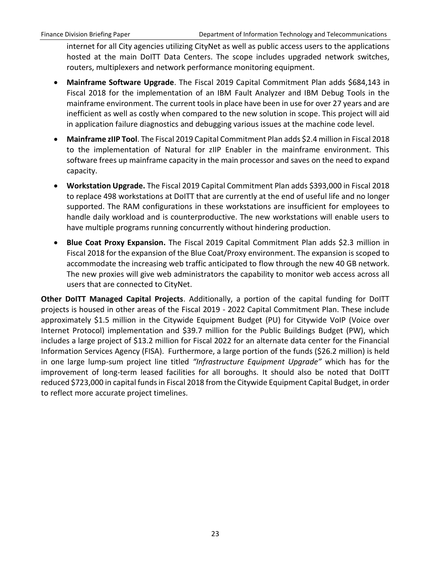internet for all City agencies utilizing CityNet as well as public access users to the applications hosted at the main DoITT Data Centers. The scope includes upgraded network switches, routers, multiplexers and network performance monitoring equipment.

- **Mainframe Software Upgrade**. The Fiscal 2019 Capital Commitment Plan adds \$684,143 in Fiscal 2018 for the implementation of an IBM Fault Analyzer and IBM Debug Tools in the mainframe environment. The current tools in place have been in use for over 27 years and are inefficient as well as costly when compared to the new solution in scope. This project will aid in application failure diagnostics and debugging various issues at the machine code level.
- **Mainframe zIIP Tool**. The Fiscal 2019 Capital Commitment Plan adds \$2.4 million in Fiscal 2018 to the implementation of Natural for zIIP Enabler in the mainframe environment. This software frees up mainframe capacity in the main processor and saves on the need to expand capacity.
- **Workstation Upgrade.** The Fiscal 2019 Capital Commitment Plan adds \$393,000 in Fiscal 2018 to replace 498 workstations at DoITT that are currently at the end of useful life and no longer supported. The RAM configurations in these workstations are insufficient for employees to handle daily workload and is counterproductive. The new workstations will enable users to have multiple programs running concurrently without hindering production.
- **Blue Coat Proxy Expansion.** The Fiscal 2019 Capital Commitment Plan adds \$2.3 million in Fiscal 2018 for the expansion of the Blue Coat/Proxy environment. The expansion is scoped to accommodate the increasing web traffic anticipated to flow through the new 40 GB network. The new proxies will give web administrators the capability to monitor web access across all users that are connected to CityNet.

**Other DoITT Managed Capital Projects**. Additionally, a portion of the capital funding for DoITT projects is housed in other areas of the Fiscal 2019 - 2022 Capital Commitment Plan. These include approximately \$1.5 million in the Citywide Equipment Budget (PU) for Citywide VoIP (Voice over Internet Protocol) implementation and \$39.7 million for the Public Buildings Budget (PW), which includes a large project of \$13.2 million for Fiscal 2022 for an alternate data center for the Financial Information Services Agency (FISA). Furthermore, a large portion of the funds (\$26.2 million) is held in one large lump-sum project line titled *"Infrastructure Equipment Upgrade"* which has for the improvement of long-term leased facilities for all boroughs. It should also be noted that DoITT reduced \$723,000 in capital funds in Fiscal 2018 from the Citywide Equipment Capital Budget, in order to reflect more accurate project timelines.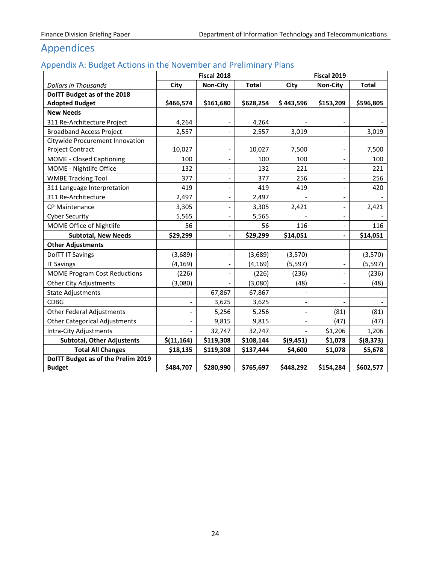## <span id="page-25-0"></span>Appendices

## <span id="page-25-1"></span>Appendix A: Budget Actions in the November and Preliminary Plans

|                                      |                          | Fiscal 2018                  |              |           | <b>Fiscal 2019</b>           |              |
|--------------------------------------|--------------------------|------------------------------|--------------|-----------|------------------------------|--------------|
| <b>Dollars in Thousands</b>          | City                     | <b>Non-City</b>              | <b>Total</b> | City      | <b>Non-City</b>              | <b>Total</b> |
| DoITT Budget as of the 2018          |                          |                              |              |           |                              |              |
| <b>Adopted Budget</b>                | \$466,574                | \$161,680                    | \$628,254    | \$443,596 | \$153,209                    | \$596,805    |
| <b>New Needs</b>                     |                          |                              |              |           |                              |              |
| 311 Re-Architecture Project          | 4,264                    |                              | 4,264        |           | $\overline{\phantom{a}}$     |              |
| <b>Broadband Access Project</b>      | 2,557                    |                              | 2,557        | 3,019     |                              | 3,019        |
| Citywide Procurement Innovation      |                          |                              |              |           |                              |              |
| Project Contract                     | 10,027                   | $\overline{\phantom{a}}$     | 10,027       | 7,500     |                              | 7,500        |
| <b>MOME - Closed Captioning</b>      | 100                      | $\overline{\phantom{0}}$     | 100          | 100       | $\overline{\phantom{a}}$     | 100          |
| MOME - Nightlife Office              | 132                      | $\overline{\phantom{a}}$     | 132          | 221       | $\overline{\phantom{a}}$     | 221          |
| <b>WMBE Tracking Tool</b>            | 377                      | $\qquad \qquad -$            | 377          | 256       |                              | 256          |
| 311 Language Interpretation          | 419                      | $\overline{\phantom{a}}$     | 419          | 419       | $\overline{\phantom{a}}$     | 420          |
| 311 Re-Architecture                  | 2,497                    | $\qquad \qquad \blacksquare$ | 2,497        |           | $\overline{\phantom{a}}$     |              |
| CP Maintenance                       | 3,305                    | $\overline{\phantom{a}}$     | 3,305        | 2,421     | $\blacksquare$               | 2,421        |
| <b>Cyber Security</b>                | 5,565                    | $\overline{\phantom{m}}$     | 5,565        |           | $\qquad \qquad \blacksquare$ |              |
| MOME Office of Nightlife             | 56                       |                              | 56           | 116       | $\qquad \qquad \blacksquare$ | 116          |
| <b>Subtotal, New Needs</b>           | \$29,299                 | $\overline{a}$               | \$29,299     | \$14,051  | $\blacksquare$               | \$14,051     |
| <b>Other Adjustments</b>             |                          |                              |              |           |                              |              |
| <b>DoITT IT Savings</b>              | (3,689)                  | $\qquad \qquad \blacksquare$ | (3,689)      | (3,570)   |                              | (3,570)      |
| <b>IT Savings</b>                    | (4, 169)                 | $\qquad \qquad \blacksquare$ | (4, 169)     | (5, 597)  | $\overline{\phantom{a}}$     | (5, 597)     |
| <b>MOME Program Cost Reductions</b>  | (226)                    | $\qquad \qquad \blacksquare$ | (226)        | (236)     | $\qquad \qquad \blacksquare$ | (236)        |
| <b>Other City Adjustments</b>        | (3,080)                  |                              | (3,080)      | (48)      | $\frac{1}{2}$                | (48)         |
| <b>State Adjustments</b>             |                          | 67,867                       | 67,867       |           |                              |              |
| <b>CDBG</b>                          | $\overline{\phantom{a}}$ | 3,625                        | 3,625        |           |                              |              |
| <b>Other Federal Adjustments</b>     | $\overline{\phantom{a}}$ | 5,256                        | 5,256        |           | (81)                         | (81)         |
| <b>Other Categorical Adjustments</b> | $\qquad \qquad -$        | 9,815                        | 9,815        |           | (47)                         | (47)         |
| Intra-City Adjustments               |                          | 32,747                       | 32,747       |           | \$1,206                      | 1,206        |
| <b>Subtotal, Other Adjustents</b>    | \$(11, 164)              | \$119,308                    | \$108,144    | \$(9,451) | \$1,078                      | \$(8,373)    |
| <b>Total All Changes</b>             | \$18,135                 | \$119,308                    | \$137,444    | \$4,600   | \$1,078                      | \$5,678      |
| DoITT Budget as of the Prelim 2019   |                          |                              |              |           |                              |              |
| <b>Budget</b>                        | \$484,707                | \$280,990                    | \$765,697    | \$448,292 | \$154,284                    | \$602,577    |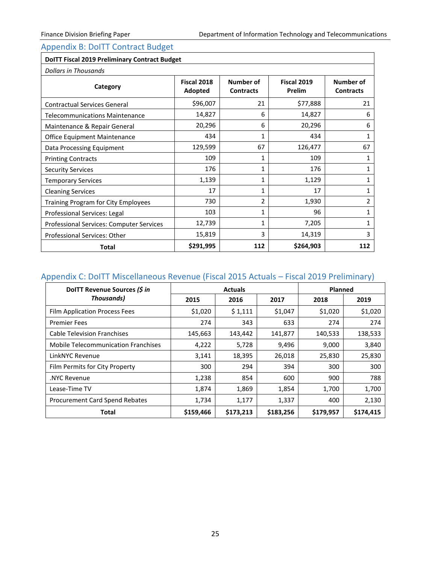i.

## <span id="page-26-0"></span>Appendix B: DoITT Contract Budget

| <b>DoITT Fiscal 2019 Preliminary Contract Budget</b><br>Dollars in Thousands |                        |                               |                              |                               |
|------------------------------------------------------------------------------|------------------------|-------------------------------|------------------------------|-------------------------------|
| Category                                                                     | Fiscal 2018<br>Adopted | Number of<br><b>Contracts</b> | Fiscal 2019<br><b>Prelim</b> | Number of<br><b>Contracts</b> |
| <b>Contractual Services General</b>                                          | \$96,007               | 21                            | \$77,888                     | 21                            |
| <b>Telecommunications Maintenance</b>                                        | 14,827                 | 6                             | 14,827                       | 6                             |
| Maintenance & Repair General                                                 | 20,296                 | 6                             | 20,296                       | 6                             |
| Office Equipment Maintenance                                                 | 434                    | 1                             | 434                          | 1                             |
| Data Processing Equipment                                                    | 129,599                | 67                            | 126,477                      | 67                            |
| <b>Printing Contracts</b>                                                    | 109                    | $\mathbf{1}$                  | 109                          | $\mathbf{1}$                  |
| <b>Security Services</b>                                                     | 176                    | 1                             | 176                          | 1                             |
| <b>Temporary Services</b>                                                    | 1,139                  | 1                             | 1,129                        | 1                             |
| <b>Cleaning Services</b>                                                     | 17                     | 1                             | 17                           | 1                             |
| Training Program for City Employees                                          | 730                    | $\overline{2}$                | 1,930                        | 2                             |
| Professional Services: Legal                                                 | 103                    | 1                             | 96                           | 1                             |
| Professional Services: Computer Services                                     | 12,739                 | $\mathbf{1}$                  | 7,205                        | 1                             |
| <b>Professional Services: Other</b>                                          | 15,819                 | 3                             | 14,319                       | 3                             |
| <b>Total</b>                                                                 | \$291,995              | 112                           | \$264,903                    | 112                           |

## <span id="page-26-1"></span>Appendix C: DoITT Miscellaneous Revenue (Fiscal 2015 Actuals – Fiscal 2019 Preliminary)

| DolTT Revenue Sources (\$ in               |           | <b>Actuals</b> |           | Planned   |           |  |
|--------------------------------------------|-----------|----------------|-----------|-----------|-----------|--|
| <b>Thousands)</b>                          | 2015      | 2016           | 2017      | 2018      | 2019      |  |
| Film Application Process Fees              | \$1,020   | \$1,111        | \$1,047   | \$1,020   | \$1,020   |  |
| <b>Premier Fees</b>                        | 274       | 343            | 633       | 274       | 274       |  |
| <b>Cable Television Franchises</b>         | 145,663   | 143,442        | 141,877   | 140,533   | 138,533   |  |
| <b>Mobile Telecommunication Franchises</b> | 4,222     | 5,728          | 9,496     | 9,000     | 3,840     |  |
| LinkNYC Revenue                            | 3,141     | 18,395         | 26,018    | 25,830    | 25,830    |  |
| Film Permits for City Property             | 300       | 294            | 394       | 300       | 300       |  |
| .NYC Revenue                               | 1,238     | 854            | 600       | 900       | 788       |  |
| Lease-Time TV                              | 1,874     | 1,869          | 1,854     | 1,700     | 1,700     |  |
| Procurement Card Spend Rebates             | 1,734     | 1,177          | 1,337     | 400       | 2,130     |  |
| <b>Total</b>                               | \$159,466 | \$173,213      | \$183,256 | \$179,957 | \$174,415 |  |